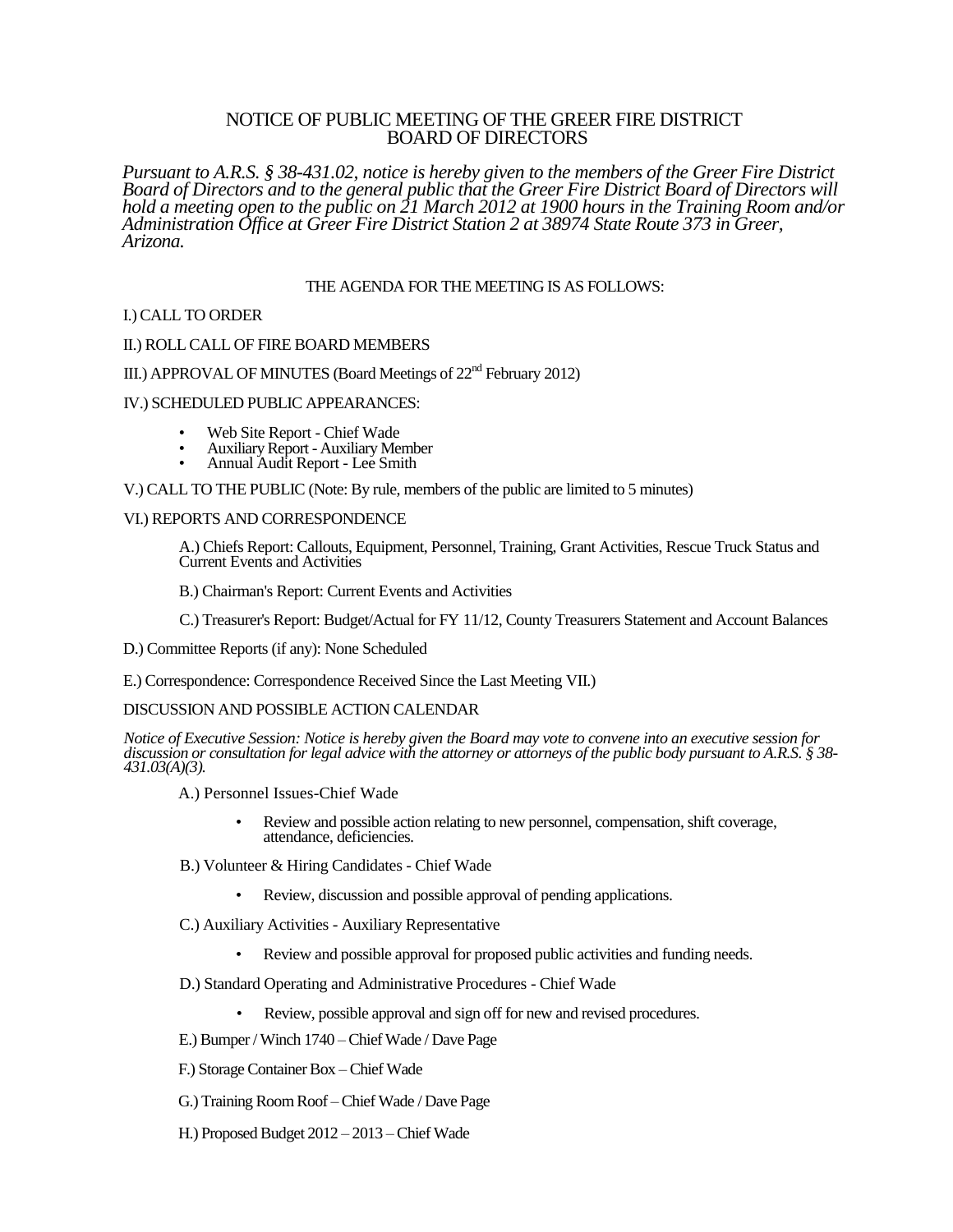## NOTICE OF PUBLIC MEETING OF THE GREER FIRE DISTRICT BOARD OF DIRECTORS

*Pursuant to A.R.S. § 38-431.02, notice is hereby given to the members of the Greer Fire District Board of Directors and to the general public that the Greer Fire District Board of Directors will hold a meeting open to the public on 21 March 2012 at 1900 hours in the Training Room and/or Administration Office at Greer Fire District Station 2 at 38974 State Route 373 in Greer, Arizona.*

## THE AGENDA FOR THE MEETING IS AS FOLLOWS:

## I.) CALL TO ORDER

#### II.) ROLL CALL OF FIRE BOARD MEMBERS

# III.) APPROVAL OF MINUTES (Board Meetings of 22<sup>nd</sup> February 2012)

#### IV.) SCHEDULED PUBLIC APPEARANCES:

- Web Site Report Chief Wade
- Auxiliary Report Auxiliary Member
- Annual Audit Report Lee Smith

V.) CALL TO THE PUBLIC (Note: By rule, members of the public are limited to 5 minutes)

#### VI.) REPORTS AND CORRESPONDENCE

A.) Chiefs Report: Callouts, Equipment, Personnel, Training, Grant Activities, Rescue Truck Status and Current Events and Activities

B.) Chairman's Report: Current Events and Activities

C.) Treasurer's Report: Budget/Actual for FY 11/12, County Treasurers Statement and Account Balances

D.) Committee Reports (if any): None Scheduled

E.) Correspondence: Correspondence Received Since the Last Meeting VII.)

## DISCUSSION AND POSSIBLE ACTION CALENDAR

*Notice of Executive Session: Notice is hereby given the Board may vote to convene into an executive session for discussion or consultation for legal advice with the attorney or attorneys of the public body pursuant to A.R.S. § 38- 431.03(A)(3).*

A.) Personnel Issues-Chief Wade

- Review and possible action relating to new personnel, compensation, shift coverage, attendance, deficiencies.
- B.) Volunteer & Hiring Candidates Chief Wade
	- Review, discussion and possible approval of pending applications.
- C.) Auxiliary Activities Auxiliary Representative
	- Review and possible approval for proposed public activities and funding needs.
- D.) Standard Operating and Administrative Procedures Chief Wade
	- Review, possible approval and sign off for new and revised procedures.
- E.) Bumper / Winch 1740 Chief Wade / Dave Page
- F.) Storage Container Box Chief Wade
- G.) Training Room Roof –Chief Wade / Dave Page
- H.) Proposed Budget 2012 2013 –Chief Wade